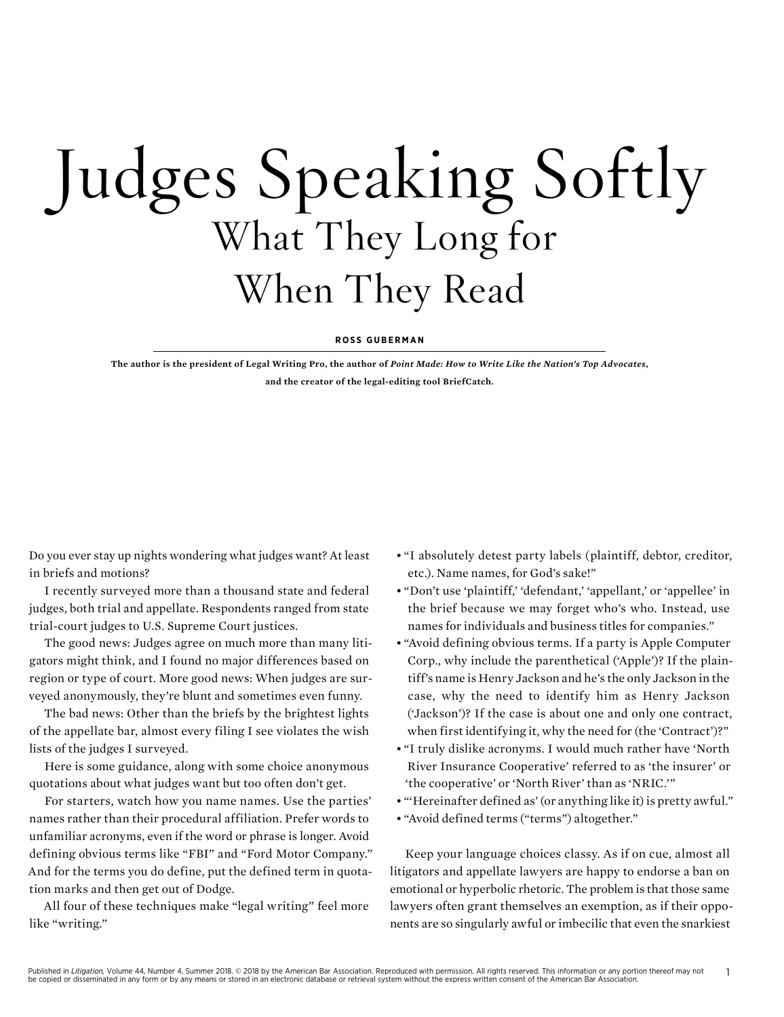## Judges Speaking Softly What They Long for When They Read

## **ROSS GUBERMAN**

**The author is the president of Legal Writing Pro, the author of** *Point Made: How to Write Like the Nation's Top Advocates***, and the creator of the legal-editing tool BriefCatch.**

Do you ever stay up nights wondering what judges want? At least in briefs and motions?

I recently surveyed more than a thousand state and federal judges, both trial and appellate. Respondents ranged from state trial-court judges to U.S. Supreme Court justices.

The good news: Judges agree on much more than many litigators might think, and I found no major differences based on region or type of court. More good news: When judges are surveyed anonymously, they're blunt and sometimes even funny.

The bad news: Other than the briefs by the brightest lights of the appellate bar, almost every filing I see violates the wish lists of the judges I surveyed.

Here is some guidance, along with some choice anonymous quotations about what judges want but too often don't get.

For starters, watch how you name names. Use the parties' names rather than their procedural affiliation. Prefer words to unfamiliar acronyms, even if the word or phrase is longer. Avoid defining obvious terms like "FBI" and "Ford Motor Company." And for the terms you do define, put the defined term in quotation marks and then get out of Dodge.

All four of these techniques make "legal writing" feel more like "writing."

- "I absolutely detest party labels (plaintiff, debtor, creditor, etc.). Name names, for God's sake!"
- "Don't use 'plaintiff,' 'defendant,' 'appellant,' or 'appellee' in the brief because we may forget who's who. Instead, use names for individuals and business titles for companies."
- "Avoid defining obvious terms. If a party is Apple Computer Corp., why include the parenthetical ('Apple')? If the plaintiff's name is Henry Jackson and he's the only Jackson in the case, why the need to identify him as Henry Jackson ('Jackson')? If the case is about one and only one contract, when first identifying it, why the need for (the 'Contract')?"
- "I truly dislike acronyms. I would much rather have 'North River Insurance Cooperative' referred to as 'the insurer' or 'the cooperative' or 'North River' than as 'NRIC.'"
- "'Hereinafter defined as' (or anything like it) is pretty awful."
- "Avoid defined terms ("terms") altogether."

Keep your language choices classy. As if on cue, almost all litigators and appellate lawyers are happy to endorse a ban on emotional or hyperbolic rhetoric. The problem is that those same lawyers often grant themselves an exemption, as if their opponents are so singularly awful or imbecilic that even the snarkiest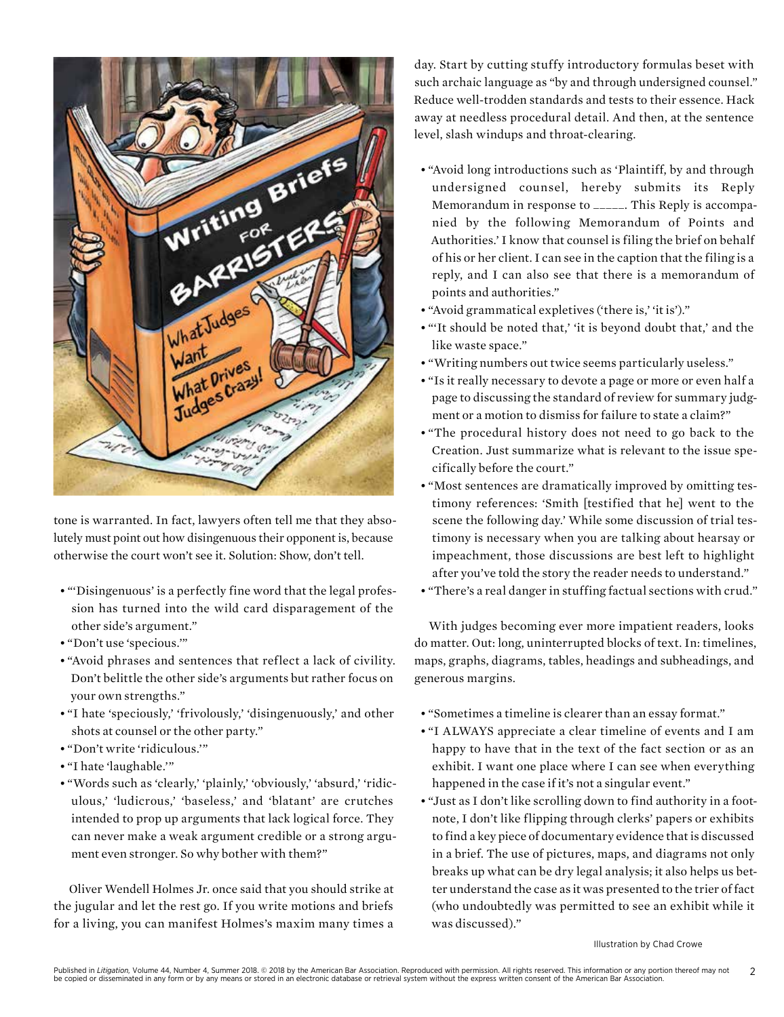

tone is warranted. In fact, lawyers often tell me that they absolutely must point out how disingenuous their opponent is, because otherwise the court won't see it. Solution: Show, don't tell.

- "'Disingenuous' is a perfectly fine word that the legal profession has turned into the wild card disparagement of the other side's argument."
- "Don't use 'specious.'"
- "Avoid phrases and sentences that reflect a lack of civility. Don't belittle the other side's arguments but rather focus on your own strengths."
- "I hate 'speciously,' 'frivolously,' 'disingenuously,' and other shots at counsel or the other party."
- "Don't write 'ridiculous.'"
- "I hate 'laughable.'"
- "Words such as 'clearly,' 'plainly,' 'obviously,' 'absurd,' 'ridiculous,' 'ludicrous,' 'baseless,' and 'blatant' are crutches intended to prop up arguments that lack logical force. They can never make a weak argument credible or a strong argument even stronger. So why bother with them?"

Oliver Wendell Holmes Jr. once said that you should strike at the jugular and let the rest go. If you write motions and briefs for a living, you can manifest Holmes's maxim many times a

day. Start by cutting stuffy introductory formulas beset with such archaic language as "by and through undersigned counsel." Reduce well-trodden standards and tests to their essence. Hack away at needless procedural detail. And then, at the sentence level, slash windups and throat-clearing.

- "Avoid long introductions such as 'Plaintiff, by and through undersigned counsel, hereby submits its Reply Memorandum in response to \_\_\_\_\_. This Reply is accompanied by the following Memorandum of Points and Authorities.' I know that counsel is filing the brief on behalf of his or her client. I can see in the caption that the filing is a reply, and I can also see that there is a memorandum of points and authorities."
- "Avoid grammatical expletives ('there is,' 'it is')."
- "'It should be noted that,' 'it is beyond doubt that,' and the like waste space."
- "Writing numbers out twice seems particularly useless."
- "Is it really necessary to devote a page or more or even half a page to discussing the standard of review for summary judgment or a motion to dismiss for failure to state a claim?"
- "The procedural history does not need to go back to the Creation. Just summarize what is relevant to the issue specifically before the court."
- "Most sentences are dramatically improved by omitting testimony references: 'Smith [testified that he] went to the scene the following day.' While some discussion of trial testimony is necessary when you are talking about hearsay or impeachment, those discussions are best left to highlight after you've told the story the reader needs to understand."
- "There's a real danger in stuffing factual sections with crud."

With judges becoming ever more impatient readers, looks do matter. Out: long, uninterrupted blocks of text. In: timelines, maps, graphs, diagrams, tables, headings and subheadings, and generous margins.

- "Sometimes a timeline is clearer than an essay format."
- "I ALWAYS appreciate a clear timeline of events and I am happy to have that in the text of the fact section or as an exhibit. I want one place where I can see when everything happened in the case if it's not a singular event."
- "Just as I don't like scrolling down to find authority in a footnote, I don't like flipping through clerks' papers or exhibits to find a key piece of documentary evidence that is discussed in a brief. The use of pictures, maps, and diagrams not only breaks up what can be dry legal analysis; it also helps us better understand the case as it was presented to the trier of fact (who undoubtedly was permitted to see an exhibit while it was discussed)."

Illustration by Chad Crowe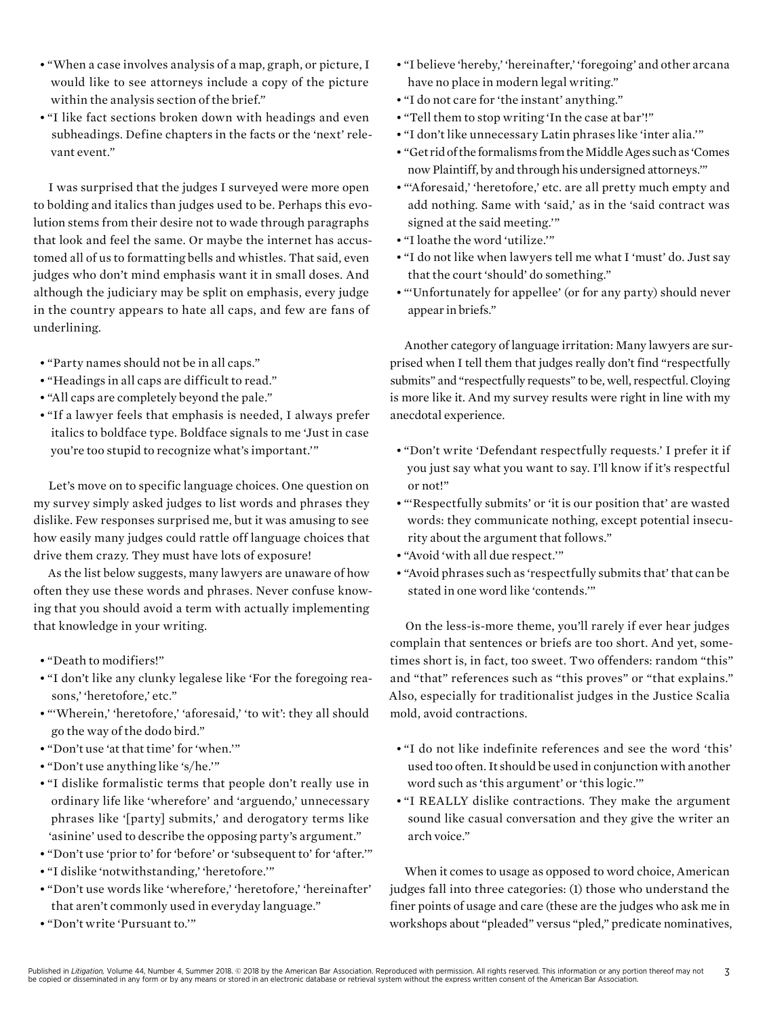- "When a case involves analysis of a map, graph, or picture, I would like to see attorneys include a copy of the picture within the analysis section of the brief."
- "I like fact sections broken down with headings and even subheadings. Define chapters in the facts or the 'next' relevant event."

I was surprised that the judges I surveyed were more open to bolding and italics than judges used to be. Perhaps this evolution stems from their desire not to wade through paragraphs that look and feel the same. Or maybe the internet has accustomed all of us to formatting bells and whistles. That said, even judges who don't mind emphasis want it in small doses. And although the judiciary may be split on emphasis, every judge in the country appears to hate all caps, and few are fans of underlining.

- "Party names should not be in all caps."
- "Headings in all caps are difficult to read."
- "All caps are completely beyond the pale."
- "If a lawyer feels that emphasis is needed, I always prefer italics to boldface type. Boldface signals to me 'Just in case you're too stupid to recognize what's important.'"

Let's move on to specific language choices. One question on my survey simply asked judges to list words and phrases they dislike. Few responses surprised me, but it was amusing to see how easily many judges could rattle off language choices that drive them crazy. They must have lots of exposure!

As the list below suggests, many lawyers are unaware of how often they use these words and phrases. Never confuse knowing that you should avoid a term with actually implementing that knowledge in your writing.

- "Death to modifiers!"
- "I don't like any clunky legalese like 'For the foregoing reasons,' 'heretofore,' etc."
- "'Wherein,' 'heretofore,' 'aforesaid,' 'to wit': they all should go the way of the dodo bird."
- "Don't use 'at that time' for 'when.'"
- "Don't use anything like 's/he.'"
- "I dislike formalistic terms that people don't really use in ordinary life like 'wherefore' and 'arguendo,' unnecessary phrases like '[party] submits,' and derogatory terms like 'asinine' used to describe the opposing party's argument."
- "Don't use 'prior to' for 'before' or 'subsequent to' for 'after.'"
- "I dislike 'notwithstanding,' 'heretofore.'"
- "Don't use words like 'wherefore,' 'heretofore,' 'hereinafter' that aren't commonly used in everyday language."
- "Don't write 'Pursuant to.'"
- "I believe 'hereby,' 'hereinafter,' 'foregoing' and other arcana have no place in modern legal writing."
- "I do not care for 'the instant' anything."
- "Tell them to stop writing 'In the case at bar'!"
- "I don't like unnecessary Latin phrases like 'inter alia.'"
- "Get rid of the formalisms from the Middle Ages such as 'Comes now Plaintiff, by and through his undersigned attorneys.'"
- "'Aforesaid,' 'heretofore,' etc. are all pretty much empty and add nothing. Same with 'said,' as in the 'said contract was signed at the said meeting.'"
- "I loathe the word 'utilize.'"
- "I do not like when lawyers tell me what I 'must' do. Just say that the court 'should' do something."
- "'Unfortunately for appellee' (or for any party) should never appear in briefs."

Another category of language irritation: Many lawyers are surprised when I tell them that judges really don't find "respectfully submits" and "respectfully requests" to be, well, respectful. Cloying is more like it. And my survey results were right in line with my anecdotal experience.

- "Don't write 'Defendant respectfully requests.' I prefer it if you just say what you want to say. I'll know if it's respectful or not!"
- "'Respectfully submits' or 'it is our position that' are wasted words: they communicate nothing, except potential insecurity about the argument that follows."
- "Avoid 'with all due respect.'"
- "Avoid phrases such as 'respectfully submits that' that can be stated in one word like 'contends.'"

On the less-is-more theme, you'll rarely if ever hear judges complain that sentences or briefs are too short. And yet, sometimes short is, in fact, too sweet. Two offenders: random "this" and "that" references such as "this proves" or "that explains." Also, especially for traditionalist judges in the Justice Scalia mold, avoid contractions.

- "I do not like indefinite references and see the word 'this' used too often. It should be used in conjunction with another word such as 'this argument' or 'this logic.'"
- "I REALLY dislike contractions. They make the argument sound like casual conversation and they give the writer an arch voice."

When it comes to usage as opposed to word choice, American judges fall into three categories: (1) those who understand the finer points of usage and care (these are the judges who ask me in workshops about "pleaded" versus "pled," predicate nominatives,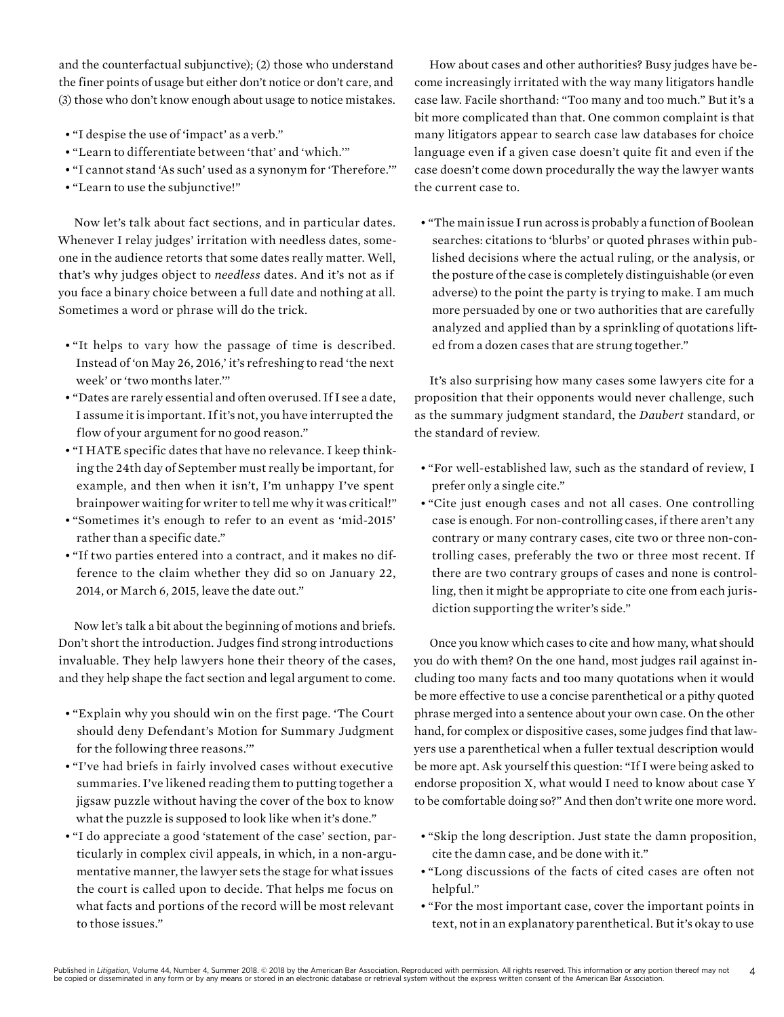and the counterfactual subjunctive); (2) those who understand the finer points of usage but either don't notice or don't care, and (3) those who don't know enough about usage to notice mistakes.

- "I despise the use of 'impact' as a verb."
- "Learn to differentiate between 'that' and 'which.'"
- "I cannot stand 'As such' used as a synonym for 'Therefore.'"
- "Learn to use the subjunctive!"

Now let's talk about fact sections, and in particular dates. Whenever I relay judges' irritation with needless dates, someone in the audience retorts that some dates really matter. Well, that's why judges object to *needless* dates. And it's not as if you face a binary choice between a full date and nothing at all. Sometimes a word or phrase will do the trick.

- "It helps to vary how the passage of time is described. Instead of 'on May 26, 2016,' it's refreshing to read 'the next week' or 'two months later.'"
- "Dates are rarely essential and often overused. If I see a date, I assume it is important. If it's not, you have interrupted the flow of your argument for no good reason."
- "I HATE specific dates that have no relevance. I keep thinking the 24th day of September must really be important, for example, and then when it isn't, I'm unhappy I've spent brainpower waiting for writer to tell me why it was critical!"
- "Sometimes it's enough to refer to an event as 'mid-2015' rather than a specific date."
- "If two parties entered into a contract, and it makes no difference to the claim whether they did so on January 22, 2014, or March 6, 2015, leave the date out."

Now let's talk a bit about the beginning of motions and briefs. Don't short the introduction. Judges find strong introductions invaluable. They help lawyers hone their theory of the cases, and they help shape the fact section and legal argument to come.

- "Explain why you should win on the first page. 'The Court should deny Defendant's Motion for Summary Judgment for the following three reasons.'"
- "I've had briefs in fairly involved cases without executive summaries. I've likened reading them to putting together a jigsaw puzzle without having the cover of the box to know what the puzzle is supposed to look like when it's done."
- "I do appreciate a good 'statement of the case' section, particularly in complex civil appeals, in which, in a non-argumentative manner, the lawyer sets the stage for what issues the court is called upon to decide. That helps me focus on what facts and portions of the record will be most relevant to those issues."

How about cases and other authorities? Busy judges have become increasingly irritated with the way many litigators handle case law. Facile shorthand: "Too many and too much." But it's a bit more complicated than that. One common complaint is that many litigators appear to search case law databases for choice language even if a given case doesn't quite fit and even if the case doesn't come down procedurally the way the lawyer wants the current case to.

• "The main issue I run across is probably a function of Boolean searches: citations to 'blurbs' or quoted phrases within published decisions where the actual ruling, or the analysis, or the posture of the case is completely distinguishable (or even adverse) to the point the party is trying to make. I am much more persuaded by one or two authorities that are carefully analyzed and applied than by a sprinkling of quotations lifted from a dozen cases that are strung together."

It's also surprising how many cases some lawyers cite for a proposition that their opponents would never challenge, such as the summary judgment standard, the *Daubert* standard, or the standard of review.

- "For well-established law, such as the standard of review, I prefer only a single cite."
- "Cite just enough cases and not all cases. One controlling case is enough. For non-controlling cases, if there aren't any contrary or many contrary cases, cite two or three non-controlling cases, preferably the two or three most recent. If there are two contrary groups of cases and none is controlling, then it might be appropriate to cite one from each jurisdiction supporting the writer's side."

Once you know which cases to cite and how many, what should you do with them? On the one hand, most judges rail against including too many facts and too many quotations when it would be more effective to use a concise parenthetical or a pithy quoted phrase merged into a sentence about your own case. On the other hand, for complex or dispositive cases, some judges find that lawyers use a parenthetical when a fuller textual description would be more apt. Ask yourself this question: "If I were being asked to endorse proposition X, what would I need to know about case Y to be comfortable doing so?" And then don't write one more word.

- "Skip the long description. Just state the damn proposition, cite the damn case, and be done with it."
- "Long discussions of the facts of cited cases are often not helpful."
- "For the most important case, cover the important points in text, not in an explanatory parenthetical. But it's okay to use